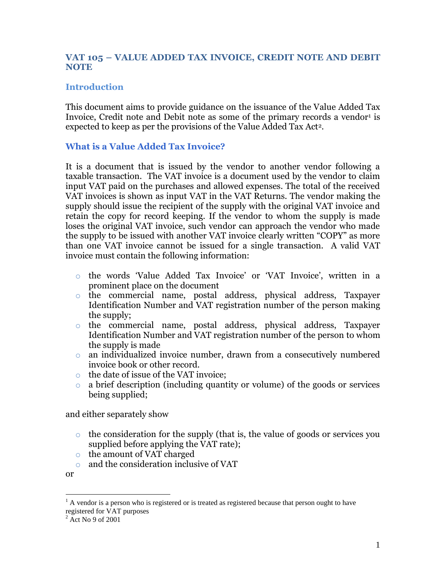## **VAT 105 – VALUE ADDED TAX INVOICE, CREDIT NOTE AND DEBIT NOTE**

## **Introduction**

This document aims to provide guidance on the issuance of the Value Added Tax Invoice, Credit note and Debit note as some of the primary records a vendor<sup>1</sup> is expected to keep as per the provisions of the Value Added Tax Act2.

### **What is a Value Added Tax Invoice?**

It is a document that is issued by the vendor to another vendor following a taxable transaction. The VAT invoice is a document used by the vendor to claim input VAT paid on the purchases and allowed expenses. The total of the received VAT invoices is shown as input VAT in the VAT Returns. The vendor making the supply should issue the recipient of the supply with the original VAT invoice and retain the copy for record keeping. If the vendor to whom the supply is made loses the original VAT invoice, such vendor can approach the vendor who made the supply to be issued with another VAT invoice clearly written "COPY" as more than one VAT invoice cannot be issued for a single transaction. A valid VAT invoice must contain the following information:

- o the words 'Value Added Tax Invoice' or 'VAT Invoice', written in a prominent place on the document
- o the commercial name, postal address, physical address, Taxpayer Identification Number and VAT registration number of the person making the supply;
- o the commercial name, postal address, physical address, Taxpayer Identification Number and VAT registration number of the person to whom the supply is made
- o an individualized invoice number, drawn from a consecutively numbered invoice book or other record.
- o the date of issue of the VAT invoice;
- o a brief description (including quantity or volume) of the goods or services being supplied;

and either separately show

- o the consideration for the supply (that is, the value of goods or services you supplied before applying the VAT rate);
- o the amount of VAT charged
- o and the consideration inclusive of VAT

or

 $\overline{a}$ 

 $<sup>1</sup>$  A vendor is a person who is registered or is treated as registered because that person ought to have</sup> registered for VAT purposes

 $2$  Act No 9 of 2001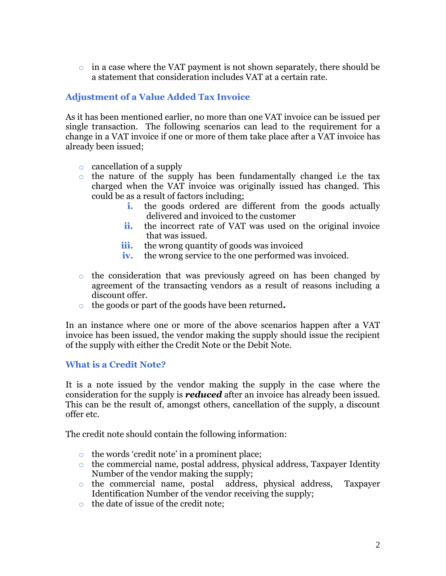$\circ$  in a case where the VAT payment is not shown separately, there should be a statement that consideration includes VAT at a certain rate.

# **Adjustment of a Value Added Tax Invoice**

As it has been mentioned earlier, no more than one VAT invoice can be issued per single transaction. The following scenarios can lead to the requirement for a change in a VAT invoice if one or more of them take place after a VAT invoice has already been issued;

- o cancellation of a supply
- o the nature of the supply has been fundamentally changed i.e the tax charged when the VAT invoice was originally issued has changed. This could be as a result of factors including;
	- **i.** the goods ordered are different from the goods actually delivered and invoiced to the customer
	- **ii.** the incorrect rate of VAT was used on the original invoice that was issued.
	- **iii.** the wrong quantity of goods was invoiced
	- **iv.** the wrong service to the one performed was invoiced.
- o the consideration that was previously agreed on has been changed by agreement of the transacting vendors as a result of reasons including a discount offer.
- o the goods or part of the goods have been returned**.**

In an instance where one or more of the above scenarios happen after a VAT invoice has been issued, the vendor making the supply should issue the recipient of the supply with either the Credit Note or the Debit Note.

### **What is a Credit Note?**

It is a note issued by the vendor making the supply in the case where the consideration for the supply is *reduced* after an invoice has already been issued. This can be the result of, amongst others, cancellation of the supply, a discount offer etc.

The credit note should contain the following information:

- o the words 'credit note' in a prominent place;
- o the commercial name, postal address, physical address, Taxpayer Identity Number of the vendor making the supply;<br>the commercial name, postal address, physical address,
- o the commercial name, postal address, physical address, Taxpayer Identification Number of the vendor receiving the supply;
- o the date of issue of the credit note;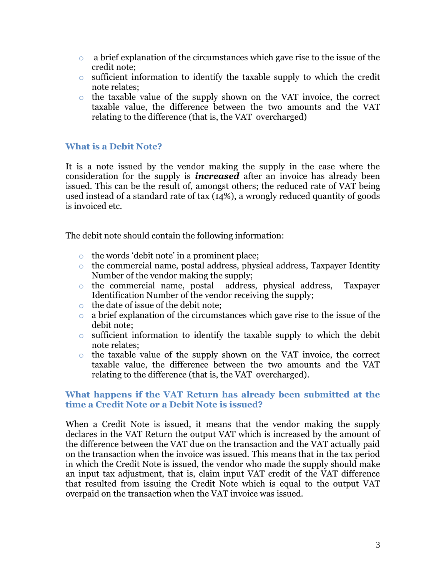- $\circ$  a brief explanation of the circumstances which gave rise to the issue of the credit note;
- o sufficient information to identify the taxable supply to which the credit note relates;
- o the taxable value of the supply shown on the VAT invoice, the correct taxable value, the difference between the two amounts and the VAT relating to the difference (that is, the VAT overcharged)

# **What is a Debit Note?**

It is a note issued by the vendor making the supply in the case where the consideration for the supply is *increased* after an invoice has already been issued. This can be the result of, amongst others; the reduced rate of VAT being used instead of a standard rate of tax (14%), a wrongly reduced quantity of goods is invoiced etc.

The debit note should contain the following information:

- o the words 'debit note' in a prominent place;
- o the commercial name, postal address, physical address, Taxpayer Identity Number of the vendor making the supply;
- o the commercial name, postal address, physical address, Taxpayer Identification Number of the vendor receiving the supply;
- o the date of issue of the debit note;
- o a brief explanation of the circumstances which gave rise to the issue of the debit note;
- o sufficient information to identify the taxable supply to which the debit note relates;
- o the taxable value of the supply shown on the VAT invoice, the correct taxable value, the difference between the two amounts and the VAT relating to the difference (that is, the VAT overcharged).

#### **What happens if the VAT Return has already been submitted at the time a Credit Note or a Debit Note is issued?**

When a Credit Note is issued, it means that the vendor making the supply declares in the VAT Return the output VAT which is increased by the amount of the difference between the VAT due on the transaction and the VAT actually paid on the transaction when the invoice was issued. This means that in the tax period in which the Credit Note is issued, the vendor who made the supply should make an input tax adjustment, that is, claim input VAT credit of the VAT difference that resulted from issuing the Credit Note which is equal to the output VAT overpaid on the transaction when the VAT invoice was issued.